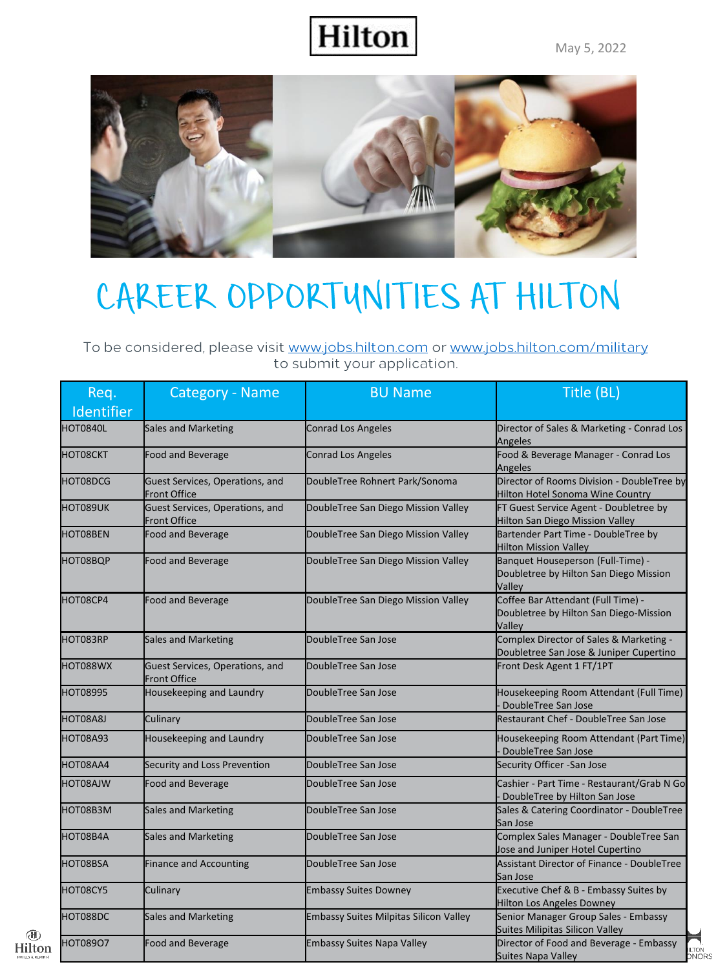

#### CAREER OPPORTUNITIES AT HILTON

To be considered, please visit www.jobs.hilton.com or www.jobs.hilton.com/military to submit your application.

| Req.<br>Identifier | Category - Name                                        | <b>BU Name</b>                                | Title (BL)                                                                             |
|--------------------|--------------------------------------------------------|-----------------------------------------------|----------------------------------------------------------------------------------------|
| HOT0840L           | Sales and Marketing                                    | <b>Conrad Los Angeles</b>                     | Director of Sales & Marketing - Conrad Los<br>Angeles                                  |
| HOT08CKT           | Food and Beverage                                      | <b>Conrad Los Angeles</b>                     | Food & Beverage Manager - Conrad Los<br>Angeles                                        |
| HOT08DCG           | Guest Services, Operations, and<br><b>Front Office</b> | DoubleTree Rohnert Park/Sonoma                | Director of Rooms Division - DoubleTree by<br>Hilton Hotel Sonoma Wine Country         |
| HOT089UK           | Guest Services, Operations, and<br><b>Front Office</b> | DoubleTree San Diego Mission Valley           | FT Guest Service Agent - Doubletree by<br>Hilton San Diego Mission Valley              |
| HOT08BEN           | Food and Beverage                                      | DoubleTree San Diego Mission Valley           | Bartender Part Time - DoubleTree by<br><b>Hilton Mission Valley</b>                    |
| HOT08BQP           | Food and Beverage                                      | DoubleTree San Diego Mission Valley           | Banquet Houseperson (Full-Time) -<br>Doubletree by Hilton San Diego Mission<br>Valley  |
| HOT08CP4           | <b>Food and Beverage</b>                               | DoubleTree San Diego Mission Valley           | Coffee Bar Attendant (Full Time) -<br>Doubletree by Hilton San Diego-Mission<br>Valley |
| HOT083RP           | <b>Sales and Marketing</b>                             | DoubleTree San Jose                           | Complex Director of Sales & Marketing -<br>Doubletree San Jose & Juniper Cupertino     |
| HOT088WX           | Guest Services, Operations, and<br><b>Front Office</b> | DoubleTree San Jose                           | Front Desk Agent 1 FT/1PT                                                              |
| <b>HOT08995</b>    | Housekeeping and Laundry                               | DoubleTree San Jose                           | Housekeeping Room Attendant (Full Time)<br>DoubleTree San Jose                         |
| HOT08A8J           | Culinary                                               | DoubleTree San Jose                           | Restaurant Chef - DoubleTree San Jose                                                  |
| <b>HOT08A93</b>    | Housekeeping and Laundry                               | DoubleTree San Jose                           | Housekeeping Room Attendant (Part Time)<br>DoubleTree San Jose                         |
| HOT08AA4           | Security and Loss Prevention                           | DoubleTree San Jose                           | Security Officer -San Jose                                                             |
| HOT08AJW           | Food and Beverage                                      | DoubleTree San Jose                           | Cashier - Part Time - Restaurant/Grab N Go<br>DoubleTree by Hilton San Jose            |
| HOT08B3M           | <b>Sales and Marketing</b>                             | DoubleTree San Jose                           | Sales & Catering Coordinator - DoubleTree<br>San Jose                                  |
| HOT08B4A           | <b>Sales and Marketing</b>                             | DoubleTree San Jose                           | Complex Sales Manager - DoubleTree San<br>Jose and Juniper Hotel Cupertino             |
| HOT08BSA           | <b>Finance and Accounting</b>                          | DoubleTree San Jose                           | Assistant Director of Finance - DoubleTree<br>San Jose                                 |
| HOT08CY5           | Culinary                                               | <b>Embassy Suites Downey</b>                  | Executive Chef & B - Embassy Suites by<br><b>Hilton Los Angeles Downey</b>             |
| HOT088DC           | <b>Sales and Marketing</b>                             | <b>Embassy Suites Milpitas Silicon Valley</b> | Senior Manager Group Sales - Embassy<br>Suites Milipitas Silicon Valley                |
| <b>HOT089O7</b>    | <b>Food and Beverage</b>                               | <b>Embassy Suites Napa Valley</b>             | Director of Food and Beverage - Embassy<br>Suites Napa Valley                          |

 $\circledR$ <br>Hilton

ILION<br>DNORS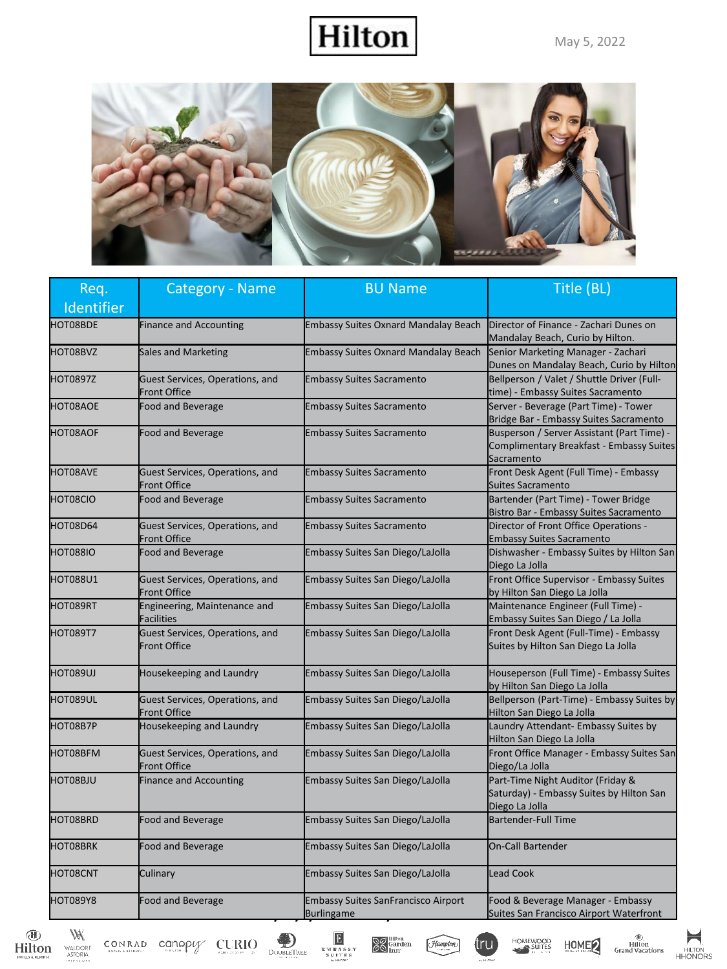®<br>Hilton<br>Grand Vacations

HOMEWOOD

tru

HOME

⊨

HILTON<br>HHONORS

#### Hilton



| Req.            | Category - Name                                        | <b>BU Name</b>                                                  | Title (BL)                                                                                           |
|-----------------|--------------------------------------------------------|-----------------------------------------------------------------|------------------------------------------------------------------------------------------------------|
| Identifier      |                                                        |                                                                 |                                                                                                      |
| HOT08BDE        | <b>Finance and Accounting</b>                          | <b>Embassy Suites Oxnard Mandalay Beach</b>                     | Director of Finance - Zachari Dunes on<br>Mandalay Beach, Curio by Hilton.                           |
| HOT08BVZ        | <b>Sales and Marketing</b>                             | <b>Embassy Suites Oxnard Mandalay Beach</b>                     | Senior Marketing Manager - Zachari<br>Dunes on Mandalay Beach, Curio by Hilton                       |
| HOT0897Z        | Guest Services, Operations, and<br><b>Front Office</b> | <b>Embassy Suites Sacramento</b>                                | Bellperson / Valet / Shuttle Driver (Full-<br>time) - Embassy Suites Sacramento                      |
| HOT08AOE        | <b>Food and Beverage</b>                               | <b>Embassy Suites Sacramento</b>                                | Server - Beverage (Part Time) - Tower<br>Bridge Bar - Embassy Suites Sacramento                      |
| <b>HOT08AOF</b> | <b>Food and Beverage</b>                               | <b>Embassy Suites Sacramento</b>                                | Busperson / Server Assistant (Part Time) -<br>Complimentary Breakfast - Embassy Suites<br>Sacramento |
| <b>HOT08AVE</b> | Guest Services, Operations, and<br><b>Front Office</b> | <b>Embassy Suites Sacramento</b>                                | Front Desk Agent (Full Time) - Embassy<br><b>Suites Sacramento</b>                                   |
| HOT08CIO        | <b>Food and Beverage</b>                               | <b>Embassy Suites Sacramento</b>                                | Bartender (Part Time) - Tower Bridge<br>Bistro Bar - Embassy Suites Sacramento                       |
| HOT08D64        | Guest Services, Operations, and<br><b>Front Office</b> | <b>Embassy Suites Sacramento</b>                                | Director of Front Office Operations -<br><b>Embassy Suites Sacramento</b>                            |
| HOT088IO        | <b>Food and Beverage</b>                               | <b>Embassy Suites San Diego/LaJolla</b>                         | Dishwasher - Embassy Suites by Hilton San<br>Diego La Jolla                                          |
| <b>HOT088U1</b> | Guest Services, Operations, and<br><b>Front Office</b> | Embassy Suites San Diego/LaJolla                                | Front Office Supervisor - Embassy Suites<br>by Hilton San Diego La Jolla                             |
| HOT089RT        | Engineering, Maintenance and<br><b>Facilities</b>      | Embassy Suites San Diego/LaJolla                                | Maintenance Engineer (Full Time) -<br>Embassy Suites San Diego / La Jolla                            |
| HOT089T7        | Guest Services, Operations, and<br><b>Front Office</b> | Embassy Suites San Diego/LaJolla                                | Front Desk Agent (Full-Time) - Embassy<br>Suites by Hilton San Diego La Jolla                        |
| HOT089UJ        | Housekeeping and Laundry                               | Embassy Suites San Diego/LaJolla                                | Houseperson (Full Time) - Embassy Suites<br>by Hilton San Diego La Jolla                             |
| HOT089UL        | Guest Services, Operations, and<br><b>Front Office</b> | Embassy Suites San Diego/LaJolla                                | Bellperson (Part-Time) - Embassy Suites by<br>Hilton San Diego La Jolla                              |
| HOT08B7P        | Housekeeping and Laundry                               | Embassy Suites San Diego/LaJolla                                | Laundry Attendant- Embassy Suites by<br>Hilton San Diego La Jolla                                    |
| HOT08BFM        | Guest Services, Operations, and<br><b>Front Office</b> | Embassy Suites San Diego/LaJolla                                | Front Office Manager - Embassy Suites San<br>Diego/La Jolla                                          |
| HOT08BJU        | <b>Finance and Accounting</b>                          | Embassy Suites San Diego/LaJolla                                | Part-Time Night Auditor (Friday &<br>Saturday) - Embassy Suites by Hilton San<br>Diego La Jolla      |
| HOT08BRD        | <b>Food and Beverage</b>                               | Embassy Suites San Diego/LaJolla                                | <b>Bartender-Full Time</b>                                                                           |
| HOT08BRK        | <b>Food and Beverage</b>                               | Embassy Suites San Diego/LaJolla                                | <b>On-Call Bartender</b>                                                                             |
| HOT08CNT        | Culinary                                               | Embassy Suites San Diego/LaJolla                                | <b>Lead Cook</b>                                                                                     |
| <b>HOT089Y8</b> | <b>Food and Beverage</b>                               | <b>Embassy Suites SanFrancisco Airport</b><br><b>Burlingame</b> | Food & Beverage Manager - Embassy<br>Suites San Francisco Airport Waterfront                         |

 $\underbrace{\text{Hilton}}_{\text{FOLIS KRISORI}}$ 

 $\bigvee_{\substack{\text{WALDORF} \\\text{ASTORIA}}}$ 

 $\text{CONRAD}\quad \underset{\text{non-in-susons}}{\text{COMPAD}}\quad \underset{\text{non-in-sus}}{\text{Canop}} \text{Supp} \quad \underset{\text{com-sus}}{\text{C}}\prod\limits_{\text{non-in-sus}}\text{O}$ 



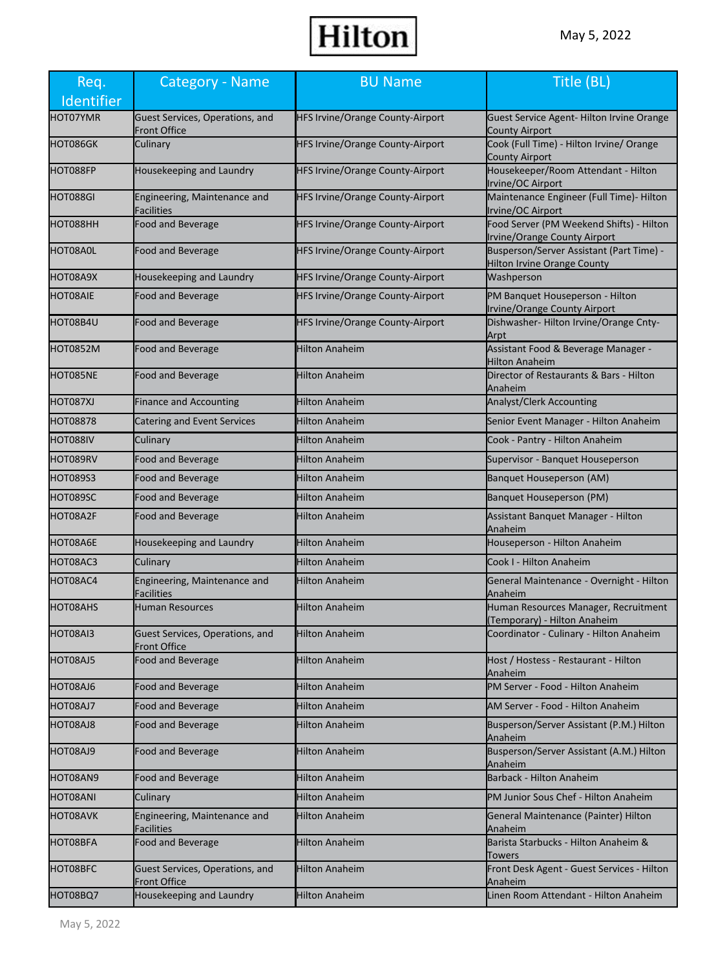| Req.            | Category - Name                                        | <b>BU Name</b>                          | Title (BL)                                                                      |
|-----------------|--------------------------------------------------------|-----------------------------------------|---------------------------------------------------------------------------------|
| Identifier      |                                                        |                                         |                                                                                 |
| HOT07YMR        | Guest Services, Operations, and<br>Front Office        | <b>HFS Irvine/Orange County-Airport</b> | Guest Service Agent-Hilton Irvine Orange<br><b>County Airport</b>               |
| HOT086GK        | Culinary                                               | <b>HFS Irvine/Orange County-Airport</b> | Cook (Full Time) - Hilton Irvine/ Orange<br><b>County Airport</b>               |
| HOT088FP        | Housekeeping and Laundry                               | <b>HFS Irvine/Orange County-Airport</b> | Housekeeper/Room Attendant - Hilton<br>Irvine/OC Airport                        |
| HOT088GI        | Engineering, Maintenance and<br>Facilities             | HFS Irvine/Orange County-Airport        | Maintenance Engineer (Full Time)- Hilton<br>Irvine/OC Airport                   |
| HOT088HH        | Food and Beverage                                      | HFS Irvine/Orange County-Airport        | Food Server (PM Weekend Shifts) - Hilton<br><b>Irvine/Orange County Airport</b> |
| HOT08A0L        | Food and Beverage                                      | <b>HFS Irvine/Orange County-Airport</b> | Busperson/Server Assistant (Part Time) -<br><b>Hilton Irvine Orange County</b>  |
| HOT08A9X        | Housekeeping and Laundry                               | <b>HFS Irvine/Orange County-Airport</b> | Washperson                                                                      |
| <b>HOT08AIE</b> | Food and Beverage                                      | <b>HFS Irvine/Orange County-Airport</b> | PM Banquet Houseperson - Hilton<br>Irvine/Orange County Airport                 |
| HOT08B4U        | Food and Beverage                                      | <b>HFS Irvine/Orange County-Airport</b> | Dishwasher- Hilton Irvine/Orange Cnty-<br>Arpt                                  |
| HOT0852M        | Food and Beverage                                      | <b>Hilton Anaheim</b>                   | Assistant Food & Beverage Manager -<br><b>Hilton Anaheim</b>                    |
| HOT085NE        | <b>Food and Beverage</b>                               | Hilton Anaheim                          | Director of Restaurants & Bars - Hilton<br>Anaheim                              |
| HOT087XJ        | <b>Finance and Accounting</b>                          | Hilton Anaheim                          | <b>Analyst/Clerk Accounting</b>                                                 |
| <b>HOT08878</b> | Catering and Event Services                            | Hilton Anaheim                          | Senior Event Manager - Hilton Anaheim                                           |
| HOT088IV        | Culinary                                               | <b>Hilton Anaheim</b>                   | Cook - Pantry - Hilton Anaheim                                                  |
| HOT089RV        | Food and Beverage                                      | Hilton Anaheim                          | Supervisor - Banquet Houseperson                                                |
| HOT089S3        | Food and Beverage                                      | Hilton Anaheim                          | Banquet Houseperson (AM)                                                        |
| HOT089SC        | <b>Food and Beverage</b>                               | Hilton Anaheim                          | <b>Banquet Houseperson (PM)</b>                                                 |
| HOT08A2F        | Food and Beverage                                      | Hilton Anaheim                          | Assistant Banquet Manager - Hilton<br>Anaheim                                   |
| HOT08A6E        | Housekeeping and Laundry                               | <b>Hilton Anaheim</b>                   | Houseperson - Hilton Anaheim                                                    |
| HOT08AC3        | Culinary                                               | <b>Hilton Anaheim</b>                   | Cook I - Hilton Anaheim                                                         |
| HOT08AC4        | Engineering, Maintenance and<br><b>Facilities</b>      | Hilton Anaheim                          | General Maintenance - Overnight - Hilton<br>Anaheim                             |
| HOT08AHS        | <b>Human Resources</b>                                 | <b>Hilton Anaheim</b>                   | Human Resources Manager, Recruitment<br>(Temporary) - Hilton Anaheim            |
| HOT08AI3        | Guest Services, Operations, and<br><b>Front Office</b> | <b>Hilton Anaheim</b>                   | Coordinator - Culinary - Hilton Anaheim                                         |
| HOT08AJ5        | Food and Beverage                                      | Hilton Anaheim                          | Host / Hostess - Restaurant - Hilton<br>Anaheim                                 |
| HOT08AJ6        | <b>Food and Beverage</b>                               | <b>Hilton Anaheim</b>                   | PM Server - Food - Hilton Anaheim                                               |
| HOT08AJ7        | <b>Food and Beverage</b>                               | Hilton Anaheim                          | AM Server - Food - Hilton Anaheim                                               |
| HOT08AJ8        | <b>Food and Beverage</b>                               | <b>Hilton Anaheim</b>                   | Busperson/Server Assistant (P.M.) Hilton<br>Anaheim                             |
| HOT08AJ9        | <b>Food and Beverage</b>                               | Hilton Anaheim                          | Busperson/Server Assistant (A.M.) Hilton<br>Anaheim                             |
| HOT08AN9        | <b>Food and Beverage</b>                               | Hilton Anaheim                          | Barback - Hilton Anaheim                                                        |
| HOT08ANI        | Culinary                                               | <b>Hilton Anaheim</b>                   | PM Junior Sous Chef - Hilton Anaheim                                            |
| HOT08AVK        | Engineering, Maintenance and<br>Facilities             | Hilton Anaheim                          | General Maintenance (Painter) Hilton<br>Anaheim                                 |
| HOT08BFA        | <b>Food and Beverage</b>                               | <b>Hilton Anaheim</b>                   | Barista Starbucks - Hilton Anaheim &<br><b>Towers</b>                           |
| HOT08BFC        | Guest Services, Operations, and<br><b>Front Office</b> | Hilton Anaheim                          | Front Desk Agent - Guest Services - Hilton<br>Anaheim                           |
| HOT08BQ7        | Housekeeping and Laundry                               | Hilton Anaheim                          | Linen Room Attendant - Hilton Anaheim                                           |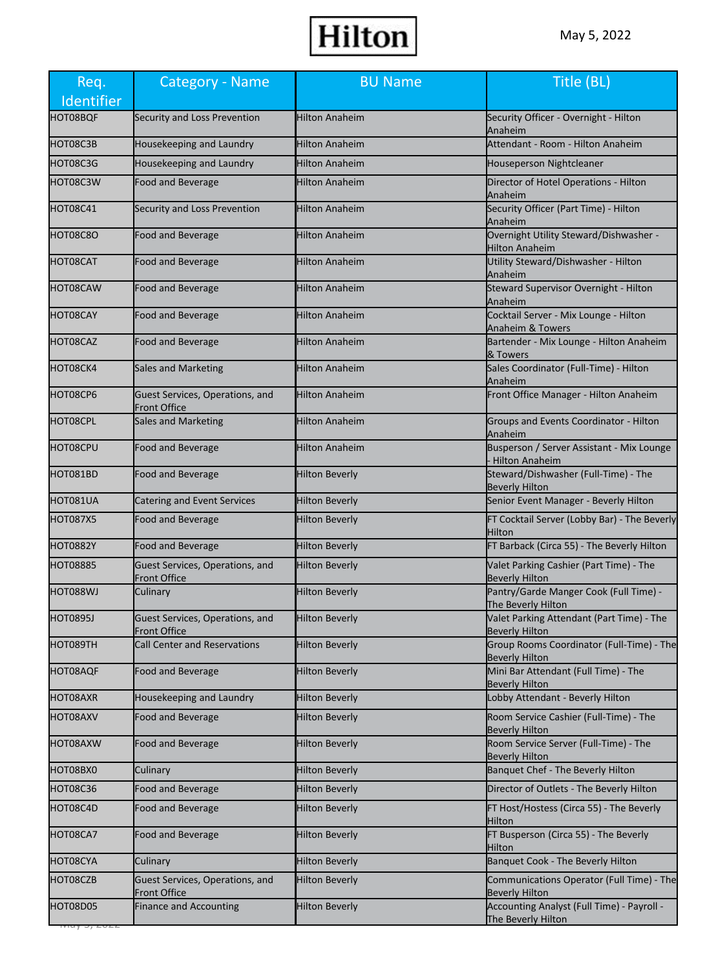| Req.<br>Identifier | <b>Category - Name</b>                                 | <b>BU Name</b>        | Title (BL)                                                         |
|--------------------|--------------------------------------------------------|-----------------------|--------------------------------------------------------------------|
| HOT08BQF           | Security and Loss Prevention                           | <b>Hilton Anaheim</b> | Security Officer - Overnight - Hilton<br>Anaheim                   |
| HOT08C3B           | Housekeeping and Laundry                               | <b>Hilton Anaheim</b> | Attendant - Room - Hilton Anaheim                                  |
| HOT08C3G           | Housekeeping and Laundry                               | <b>Hilton Anaheim</b> | Houseperson Nightcleaner                                           |
| HOT08C3W           | <b>Food and Beverage</b>                               | Hilton Anaheim        | Director of Hotel Operations - Hilton<br>Anaheim                   |
| HOT08C41           | Security and Loss Prevention                           | Hilton Anaheim        | Security Officer (Part Time) - Hilton<br>Anaheim                   |
| HOT08C8O           | <b>Food and Beverage</b>                               | <b>Hilton Anaheim</b> | Overnight Utility Steward/Dishwasher -<br><b>Hilton Anaheim</b>    |
| HOT08CAT           | <b>Food and Beverage</b>                               | Hilton Anaheim        | Utility Steward/Dishwasher - Hilton<br>Anaheim                     |
| HOT08CAW           | <b>Food and Beverage</b>                               | <b>Hilton Anaheim</b> | Steward Supervisor Overnight - Hilton<br>Anaheim                   |
| HOT08CAY           | <b>Food and Beverage</b>                               | Hilton Anaheim        | Cocktail Server - Mix Lounge - Hilton<br>Anaheim & Towers          |
| HOT08CAZ           | <b>Food and Beverage</b>                               | <b>Hilton Anaheim</b> | Bartender - Mix Lounge - Hilton Anaheim<br>& Towers                |
| HOT08CK4           | <b>Sales and Marketing</b>                             | Hilton Anaheim        | Sales Coordinator (Full-Time) - Hilton<br>Anaheim                  |
| HOT08CP6           | Guest Services, Operations, and<br>Front Office        | <b>Hilton Anaheim</b> | Front Office Manager - Hilton Anaheim                              |
| HOT08CPL           | Sales and Marketing                                    | <b>Hilton Anaheim</b> | Groups and Events Coordinator - Hilton<br>Anaheim                  |
| HOT08CPU           | <b>Food and Beverage</b>                               | Hilton Anaheim        | Busperson / Server Assistant - Mix Lounge<br><b>Hilton Anaheim</b> |
| HOT081BD           | <b>Food and Beverage</b>                               | <b>Hilton Beverly</b> | Steward/Dishwasher (Full-Time) - The<br><b>Beverly Hilton</b>      |
| HOT081UA           | Catering and Event Services                            | <b>Hilton Beverly</b> | Senior Event Manager - Beverly Hilton                              |
| HOT087X5           | <b>Food and Beverage</b>                               | <b>Hilton Beverly</b> | FT Cocktail Server (Lobby Bar) - The Beverly<br>Hilton             |
| <b>HOT0882Y</b>    | <b>Food and Beverage</b>                               | <b>Hilton Beverly</b> | FT Barback (Circa 55) - The Beverly Hilton                         |
| <b>HOT08885</b>    | Guest Services, Operations, and<br>Front Office        | <b>Hilton Beverly</b> | Valet Parking Cashier (Part Time) - The<br><b>Beverly Hilton</b>   |
| HOT088WJ           | Culinary                                               | <b>Hilton Beverly</b> | Pantry/Garde Manger Cook (Full Time) -<br>The Beverly Hilton       |
| <b>HOT0895J</b>    | Guest Services, Operations, and<br><b>Front Office</b> | <b>Hilton Beverly</b> | Valet Parking Attendant (Part Time) - The<br><b>Beverly Hilton</b> |
| HOT089TH           | <b>Call Center and Reservations</b>                    | <b>Hilton Beverly</b> | Group Rooms Coordinator (Full-Time) - The<br><b>Beverly Hilton</b> |
| HOT08AQF           | Food and Beverage                                      | <b>Hilton Beverly</b> | Mini Bar Attendant (Full Time) - The<br><b>Beverly Hilton</b>      |
| HOT08AXR           | Housekeeping and Laundry                               | <b>Hilton Beverly</b> | Lobby Attendant - Beverly Hilton                                   |
| HOT08AXV           | <b>Food and Beverage</b>                               | <b>Hilton Beverly</b> | Room Service Cashier (Full-Time) - The<br><b>Beverly Hilton</b>    |
| HOT08AXW           | Food and Beverage                                      | <b>Hilton Beverly</b> | Room Service Server (Full-Time) - The<br><b>Beverly Hilton</b>     |
| HOT08BX0           | Culinary                                               | <b>Hilton Beverly</b> | Banquet Chef - The Beverly Hilton                                  |
| <b>HOT08C36</b>    | <b>Food and Beverage</b>                               | <b>Hilton Beverly</b> | Director of Outlets - The Beverly Hilton                           |
| HOT08C4D           | Food and Beverage                                      | <b>Hilton Beverly</b> | FT Host/Hostess (Circa 55) - The Beverly<br>Hilton                 |
| HOT08CA7           | <b>Food and Beverage</b>                               | <b>Hilton Beverly</b> | FT Busperson (Circa 55) - The Beverly<br>Hilton                    |
| HOT08CYA           | Culinary                                               | <b>Hilton Beverly</b> | Banquet Cook - The Beverly Hilton                                  |
| HOT08CZB           | Guest Services, Operations, and<br><b>Front Office</b> | <b>Hilton Beverly</b> | Communications Operator (Full Time) - The<br><b>Beverly Hilton</b> |
| HOT08D05           | Finance and Accounting                                 | <b>Hilton Beverly</b> | Accounting Analyst (Full Time) - Payroll -<br>The Beverly Hilton   |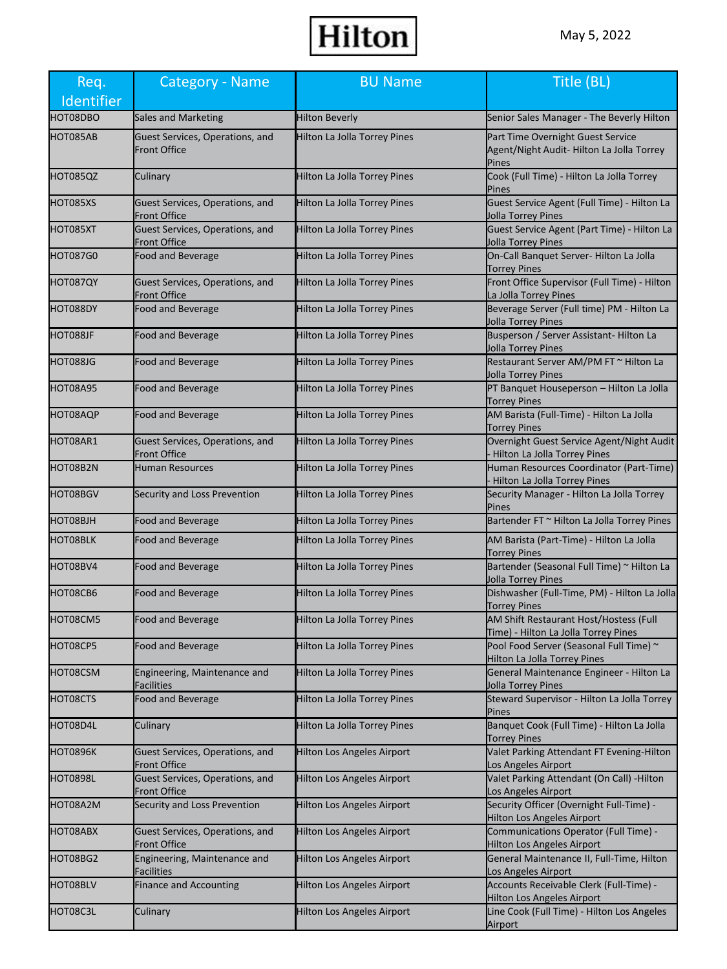| Req.<br>Identifier | <b>Category - Name</b>                                 | <b>BU Name</b>                      | Title (BL)                                                                             |
|--------------------|--------------------------------------------------------|-------------------------------------|----------------------------------------------------------------------------------------|
| HOT08DBO           | <b>Sales and Marketing</b>                             | <b>Hilton Beverly</b>               | Senior Sales Manager - The Beverly Hilton                                              |
| HOT085AB           | Guest Services, Operations, and<br><b>Front Office</b> | Hilton La Jolla Torrey Pines        | Part Time Overnight Guest Service<br>Agent/Night Audit-Hilton La Jolla Torrey<br>Pines |
| HOT085QZ           | Culinary                                               | Hilton La Jolla Torrey Pines        | Cook (Full Time) - Hilton La Jolla Torrey<br>Pines                                     |
| HOT085XS           | Guest Services, Operations, and<br>Front Office        | Hilton La Jolla Torrey Pines        | Guest Service Agent (Full Time) - Hilton La<br>Jolla Torrey Pines                      |
| HOT085XT           | Guest Services, Operations, and<br><b>Front Office</b> | Hilton La Jolla Torrey Pines        | Guest Service Agent (Part Time) - Hilton La<br>Jolla Torrey Pines                      |
| <b>HOT087G0</b>    | <b>Food and Beverage</b>                               | Hilton La Jolla Torrey Pines        | On-Call Banquet Server- Hilton La Jolla<br><b>Torrey Pines</b>                         |
| HOT087QY           | Guest Services, Operations, and<br>Front Office        | Hilton La Jolla Torrey Pines        | Front Office Supervisor (Full Time) - Hilton<br>La Jolla Torrey Pines                  |
| HOT088DY           | Food and Beverage                                      | Hilton La Jolla Torrey Pines        | Beverage Server (Full time) PM - Hilton La<br>Jolla Torrey Pines                       |
| HOT088JF           | <b>Food and Beverage</b>                               | Hilton La Jolla Torrey Pines        | Busperson / Server Assistant- Hilton La<br>Jolla Torrey Pines                          |
| HOT088JG           | <b>Food and Beverage</b>                               | Hilton La Jolla Torrey Pines        | Restaurant Server AM/PM FT ~ Hilton La<br>Jolla Torrey Pines                           |
| HOT08A95           | <b>Food and Beverage</b>                               | Hilton La Jolla Torrey Pines        | PT Banquet Houseperson - Hilton La Jolla<br><b>Torrey Pines</b>                        |
| HOT08AQP           | <b>Food and Beverage</b>                               | Hilton La Jolla Torrey Pines        | AM Barista (Full-Time) - Hilton La Jolla<br><b>Torrey Pines</b>                        |
| HOT08AR1           | Guest Services, Operations, and<br><b>Front Office</b> | Hilton La Jolla Torrey Pines        | Overnight Guest Service Agent/Night Audit<br>Hilton La Jolla Torrey Pines              |
| HOT08B2N           | <b>Human Resources</b>                                 | Hilton La Jolla Torrey Pines        | Human Resources Coordinator (Part-Time)<br>Hilton La Jolla Torrey Pines                |
| HOT08BGV           | Security and Loss Prevention                           | Hilton La Jolla Torrey Pines        | Security Manager - Hilton La Jolla Torrey<br>Pines                                     |
| HOT08BJH           | <b>Food and Beverage</b>                               | Hilton La Jolla Torrey Pines        | Bartender FT ~ Hilton La Jolla Torrey Pines                                            |
| HOT08BLK           | Food and Beverage                                      | Hilton La Jolla Torrey Pines        | AM Barista (Part-Time) - Hilton La Jolla<br><b>Torrey Pines</b>                        |
| HOT08BV4           | <b>Food and Beverage</b>                               | Hilton La Jolla Torrey Pines        | Bartender (Seasonal Full Time) ~ Hilton La<br>Jolla Torrey Pines                       |
| HOT08CB6           | <b>Food and Beverage</b>                               | Hilton La Jolla Torrey Pines        | Dishwasher (Full-Time, PM) - Hilton La Jolla<br><b>Torrey Pines</b>                    |
| HOT08CM5           | Food and Beverage                                      | Hilton La Jolla Torrey Pines        | AM Shift Restaurant Host/Hostess (Full<br>Time) - Hilton La Jolla Torrey Pines         |
| HOT08CP5           | <b>Food and Beverage</b>                               | Hilton La Jolla Torrey Pines        | Pool Food Server (Seasonal Full Time) ~<br>Hilton La Jolla Torrey Pines                |
| HOT08CSM           | Engineering, Maintenance and<br>Facilities             | Hilton La Jolla Torrey Pines        | General Maintenance Engineer - Hilton La<br>Jolla Torrey Pines                         |
| HOT08CTS           | Food and Beverage                                      | <b>Hilton La Jolla Torrey Pines</b> | Steward Supervisor - Hilton La Jolla Torrey<br>Pines                                   |
| HOT08D4L           | Culinary                                               | Hilton La Jolla Torrey Pines        | Banquet Cook (Full Time) - Hilton La Jolla<br><b>Torrey Pines</b>                      |
| HOT0896K           | Guest Services, Operations, and<br><b>Front Office</b> | <b>Hilton Los Angeles Airport</b>   | Valet Parking Attendant FT Evening-Hilton<br>Los Angeles Airport                       |
| HOT0898L           | Guest Services, Operations, and<br>Front Office        | <b>Hilton Los Angeles Airport</b>   | Valet Parking Attendant (On Call) - Hilton<br>Los Angeles Airport                      |
| HOT08A2M           | Security and Loss Prevention                           | <b>Hilton Los Angeles Airport</b>   | Security Officer (Overnight Full-Time) -<br><b>Hilton Los Angeles Airport</b>          |
| HOT08ABX           | Guest Services, Operations, and<br><b>Front Office</b> | <b>Hilton Los Angeles Airport</b>   | Communications Operator (Full Time) -<br><b>Hilton Los Angeles Airport</b>             |
| HOT08BG2           | Engineering, Maintenance and<br>Facilities             | <b>Hilton Los Angeles Airport</b>   | General Maintenance II, Full-Time, Hilton<br>Los Angeles Airport                       |
| HOT08BLV           | <b>Finance and Accounting</b>                          | <b>Hilton Los Angeles Airport</b>   | Accounts Receivable Clerk (Full-Time) -<br><b>Hilton Los Angeles Airport</b>           |
| HOT08C3L           | Culinary                                               | <b>Hilton Los Angeles Airport</b>   | Line Cook (Full Time) - Hilton Los Angeles<br>Airport                                  |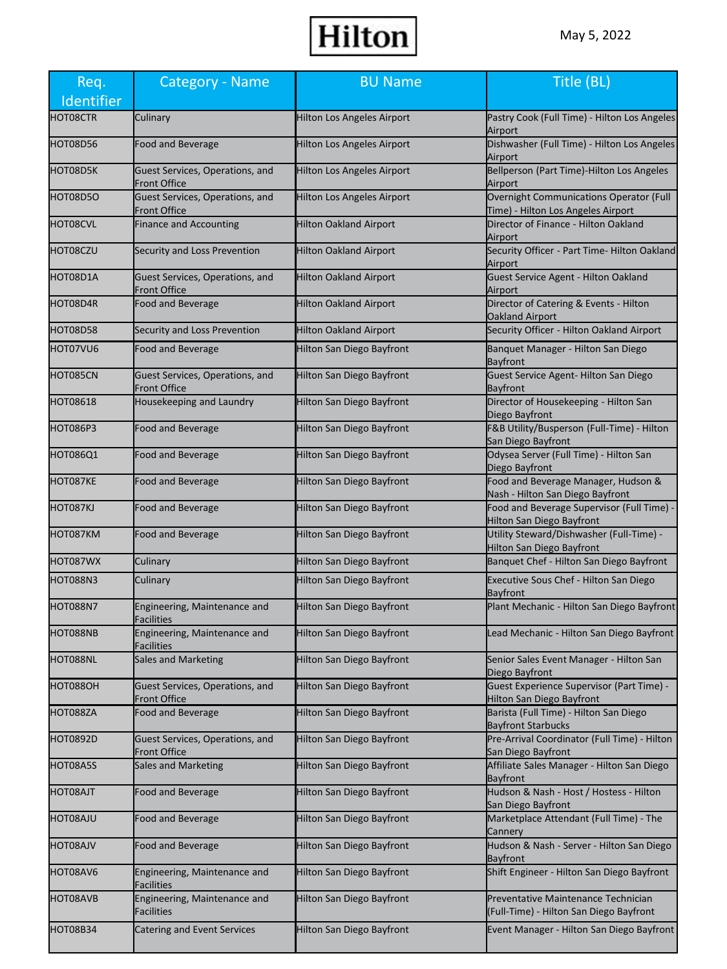| Req.            | Category - Name                                        | <b>BU Name</b>                    | Title (BL)                                                                     |
|-----------------|--------------------------------------------------------|-----------------------------------|--------------------------------------------------------------------------------|
| Identifier      |                                                        |                                   |                                                                                |
| HOT08CTR        | Culinary                                               | Hilton Los Angeles Airport        | Pastry Cook (Full Time) - Hilton Los Angeles<br>Airport                        |
| HOT08D56        | Food and Beverage                                      | <b>Hilton Los Angeles Airport</b> | Dishwasher (Full Time) - Hilton Los Angeles<br>Airport                         |
| HOT08D5K        | Guest Services, Operations, and<br>Front Office        | Hilton Los Angeles Airport        | Bellperson (Part Time)-Hilton Los Angeles<br>Airport                           |
| HOT08D5O        | Guest Services, Operations, and<br><b>Front Office</b> | Hilton Los Angeles Airport        | Overnight Communications Operator (Full<br>Time) - Hilton Los Angeles Airport  |
| HOT08CVL        | <b>Finance and Accounting</b>                          | <b>Hilton Oakland Airport</b>     | Director of Finance - Hilton Oakland<br>Airport                                |
| HOT08CZU        | Security and Loss Prevention                           | <b>Hilton Oakland Airport</b>     | Security Officer - Part Time- Hilton Oakland<br>Airport                        |
| HOT08D1A        | Guest Services, Operations, and<br><b>Front Office</b> | Hilton Oakland Airport            | Guest Service Agent - Hilton Oakland<br>Airport                                |
| HOT08D4R        | Food and Beverage                                      | <b>Hilton Oakland Airport</b>     | Director of Catering & Events - Hilton<br><b>Oakland Airport</b>               |
| HOT08D58        | Security and Loss Prevention                           | Hilton Oakland Airport            | Security Officer - Hilton Oakland Airport                                      |
| HOT07VU6        | Food and Beverage                                      | <b>Hilton San Diego Bayfront</b>  | Banquet Manager - Hilton San Diego<br><b>Bayfront</b>                          |
| HOT085CN        | Guest Services, Operations, and<br><b>Front Office</b> | Hilton San Diego Bayfront         | Guest Service Agent-Hilton San Diego<br>Bayfront                               |
| HOT08618        | Housekeeping and Laundry                               | <b>Hilton San Diego Bayfront</b>  | Director of Housekeeping - Hilton San<br>Diego Bayfront                        |
| <b>HOT086P3</b> | <b>Food and Beverage</b>                               | Hilton San Diego Bayfront         | F&B Utility/Busperson (Full-Time) - Hilton<br>San Diego Bayfront               |
| <b>HOT086Q1</b> | Food and Beverage                                      | Hilton San Diego Bayfront         | Odysea Server (Full Time) - Hilton San<br>Diego Bayfront                       |
| HOT087KE        | Food and Beverage                                      | Hilton San Diego Bayfront         | Food and Beverage Manager, Hudson &<br>Nash - Hilton San Diego Bayfront        |
| HOT087KJ        | Food and Beverage                                      | Hilton San Diego Bayfront         | Food and Beverage Supervisor (Full Time) -<br>Hilton San Diego Bayfront        |
| HOT087KM        | Food and Beverage                                      | <b>Hilton San Diego Bayfront</b>  | Utility Steward/Dishwasher (Full-Time) -<br>Hilton San Diego Bayfront          |
| HOT087WX        | Culinary                                               | Hilton San Diego Bayfront         | Banquet Chef - Hilton San Diego Bayfront                                       |
| <b>HOT088N3</b> | Culinary                                               | Hilton San Diego Bayfront         | Executive Sous Chef - Hilton San Diego<br><b>Bayfront</b>                      |
| <b>HOT088N7</b> | Engineering, Maintenance and<br>Facilities             | Hilton San Diego Bayfront         | Plant Mechanic - Hilton San Diego Bayfront                                     |
| HOT088NB        | Engineering, Maintenance and<br><b>Facilities</b>      | Hilton San Diego Bayfront         | Lead Mechanic - Hilton San Diego Bayfront                                      |
| HOT088NL        | Sales and Marketing                                    | <b>Hilton San Diego Bayfront</b>  | Senior Sales Event Manager - Hilton San<br>Diego Bayfront                      |
| <b>НОТ088ОН</b> | Guest Services, Operations, and<br>Front Office        | <b>Hilton San Diego Bayfront</b>  | Guest Experience Supervisor (Part Time) -<br>Hilton San Diego Bayfront         |
| HOT088ZA        | Food and Beverage                                      | <b>Hilton San Diego Bayfront</b>  | Barista (Full Time) - Hilton San Diego<br><b>Bayfront Starbucks</b>            |
| <b>HOT0892D</b> | Guest Services, Operations, and<br><b>Front Office</b> | <b>Hilton San Diego Bayfront</b>  | Pre-Arrival Coordinator (Full Time) - Hilton<br>San Diego Bayfront             |
| HOT08A5S        | Sales and Marketing                                    | Hilton San Diego Bayfront         | Affiliate Sales Manager - Hilton San Diego<br>Bayfront                         |
| HOT08AJT        | Food and Beverage                                      | <b>Hilton San Diego Bayfront</b>  | Hudson & Nash - Host / Hostess - Hilton<br>San Diego Bayfront                  |
| HOT08AJU        | Food and Beverage                                      | Hilton San Diego Bayfront         | Marketplace Attendant (Full Time) - The<br>Cannery                             |
| HOT08AJV        | Food and Beverage                                      | <b>Hilton San Diego Bayfront</b>  | Hudson & Nash - Server - Hilton San Diego<br>Bayfront                          |
| HOT08AV6        | Engineering, Maintenance and<br>Facilities             | Hilton San Diego Bayfront         | Shift Engineer - Hilton San Diego Bayfront                                     |
| HOT08AVB        | Engineering, Maintenance and<br>Facilities             | Hilton San Diego Bayfront         | Preventative Maintenance Technician<br>(Full-Time) - Hilton San Diego Bayfront |
| <b>HOT08B34</b> | <b>Catering and Event Services</b>                     | <b>Hilton San Diego Bayfront</b>  | Event Manager - Hilton San Diego Bayfront                                      |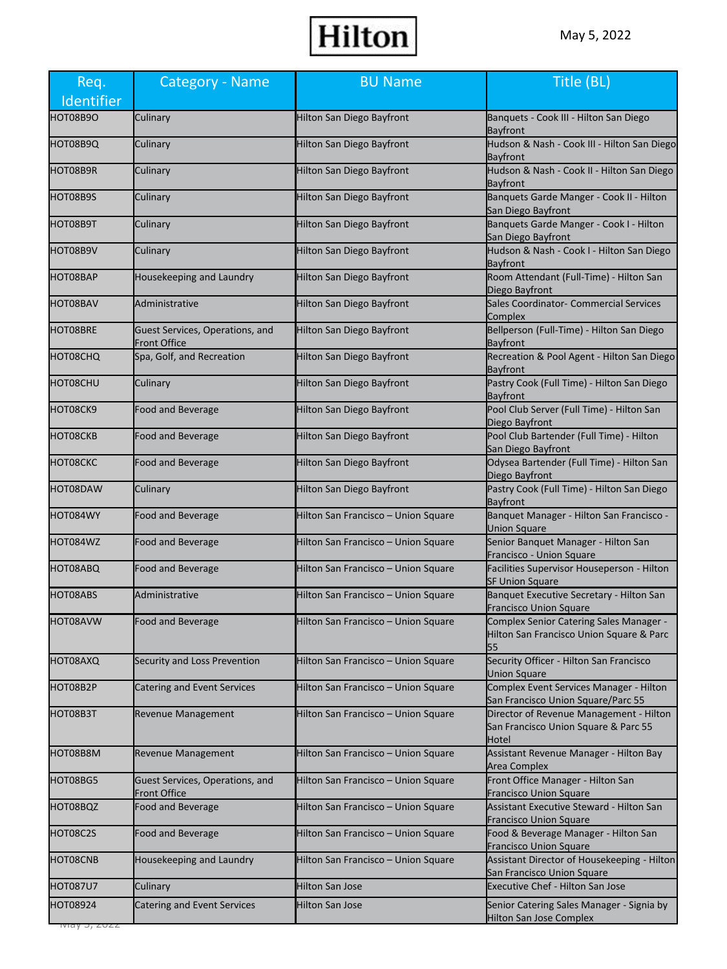| Req.<br>Identifier                | Category - Name                                 | <b>BU Name</b>                      | Title (BL)                                                                                |
|-----------------------------------|-------------------------------------------------|-------------------------------------|-------------------------------------------------------------------------------------------|
| HOT08B9O                          | Culinary                                        | Hilton San Diego Bayfront           | Banquets - Cook III - Hilton San Diego<br><b>Bayfront</b>                                 |
| HOT08B9Q                          | Culinary                                        | Hilton San Diego Bayfront           | Hudson & Nash - Cook III - Hilton San Diego<br><b>Bayfront</b>                            |
| HOT08B9R                          | Culinary                                        | <b>Hilton San Diego Bayfront</b>    | Hudson & Nash - Cook II - Hilton San Diego<br><b>Bayfront</b>                             |
| HOT08B9S                          | Culinary                                        | Hilton San Diego Bayfront           | Banquets Garde Manger - Cook II - Hilton<br>San Diego Bayfront                            |
| HOT08B9T                          | Culinary                                        | Hilton San Diego Bayfront           | Banquets Garde Manger - Cook I - Hilton<br>San Diego Bayfront                             |
| HOT08B9V                          | Culinary                                        | <b>Hilton San Diego Bayfront</b>    | Hudson & Nash - Cook I - Hilton San Diego<br><b>Bayfront</b>                              |
| HOT08BAP                          | Housekeeping and Laundry                        | Hilton San Diego Bayfront           | Room Attendant (Full-Time) - Hilton San<br>Diego Bayfront                                 |
| HOT08BAV                          | Administrative                                  | Hilton San Diego Bayfront           | Sales Coordinator- Commercial Services<br>Complex                                         |
| HOT08BRE                          | Guest Services, Operations, and<br>Front Office | Hilton San Diego Bayfront           | Bellperson (Full-Time) - Hilton San Diego<br>Bayfront                                     |
| HOT08CHQ                          | Spa, Golf, and Recreation                       | Hilton San Diego Bayfront           | Recreation & Pool Agent - Hilton San Diego<br>Bayfront                                    |
| HOT08CHU                          | Culinary                                        | Hilton San Diego Bayfront           | Pastry Cook (Full Time) - Hilton San Diego<br>Bayfront                                    |
| HOT08CK9                          | <b>Food and Beverage</b>                        | <b>Hilton San Diego Bayfront</b>    | Pool Club Server (Full Time) - Hilton San<br>Diego Bayfront                               |
| HOT08CKB                          | Food and Beverage                               | <b>Hilton San Diego Bayfront</b>    | Pool Club Bartender (Full Time) - Hilton<br>San Diego Bayfront                            |
| HOT08CKC                          | <b>Food and Beverage</b>                        | Hilton San Diego Bayfront           | Odysea Bartender (Full Time) - Hilton San<br>Diego Bayfront                               |
| HOT08DAW                          | Culinary                                        | Hilton San Diego Bayfront           | Pastry Cook (Full Time) - Hilton San Diego<br><b>Bayfront</b>                             |
| HOT084WY                          | <b>Food and Beverage</b>                        | Hilton San Francisco – Union Square | Banquet Manager - Hilton San Francisco -<br>Union Square                                  |
| HOT084WZ                          | <b>Food and Beverage</b>                        | Hilton San Francisco - Union Square | Senior Banquet Manager - Hilton San<br>Francisco - Union Square                           |
| HOT08ABQ                          | <b>Food and Beverage</b>                        | Hilton San Francisco - Union Square | Facilities Supervisor Houseperson - Hilton<br><b>SF Union Square</b>                      |
| HOT08ABS                          | Administrative                                  | Hilton San Francisco - Union Square | Banquet Executive Secretary - Hilton San<br><b>Francisco Union Square</b>                 |
| <b>HOT08AVW</b>                   | <b>Food and Beverage</b>                        | Hilton San Francisco - Union Square | Complex Senior Catering Sales Manager -<br>Hilton San Francisco Union Square & Parc<br>55 |
| HOT08AXQ                          | Security and Loss Prevention                    | Hilton San Francisco - Union Square | Security Officer - Hilton San Francisco<br>Union Square                                   |
| HOT08B2P                          | <b>Catering and Event Services</b>              | Hilton San Francisco - Union Square | Complex Event Services Manager - Hilton<br>San Francisco Union Square/Parc 55             |
| HOT08B3T                          | <b>Revenue Management</b>                       | Hilton San Francisco - Union Square | Director of Revenue Management - Hilton<br>San Francisco Union Square & Parc 55<br>Hotel  |
| HOT08B8M                          | <b>Revenue Management</b>                       | Hilton San Francisco - Union Square | Assistant Revenue Manager - Hilton Bay<br>Area Complex                                    |
| HOT08BG5                          | Guest Services, Operations, and<br>Front Office | Hilton San Francisco – Union Square | Front Office Manager - Hilton San<br><b>Francisco Union Square</b>                        |
| HOT08BQZ                          | <b>Food and Beverage</b>                        | Hilton San Francisco - Union Square | Assistant Executive Steward - Hilton San<br><b>Francisco Union Square</b>                 |
| HOT08C2S                          | <b>Food and Beverage</b>                        | Hilton San Francisco - Union Square | Food & Beverage Manager - Hilton San<br><b>Francisco Union Square</b>                     |
| HOT08CNB                          | Housekeeping and Laundry                        | Hilton San Francisco - Union Square | Assistant Director of Housekeeping - Hilton<br>San Francisco Union Square                 |
| <b>HOT087U7</b>                   | Culinary                                        | <b>Hilton San Jose</b>              | <b>Executive Chef - Hilton San Jose</b>                                                   |
| HOT08924<br>1viay <i>J, L</i> UZZ | <b>Catering and Event Services</b>              | <b>Hilton San Jose</b>              | Senior Catering Sales Manager - Signia by<br><b>Hilton San Jose Complex</b>               |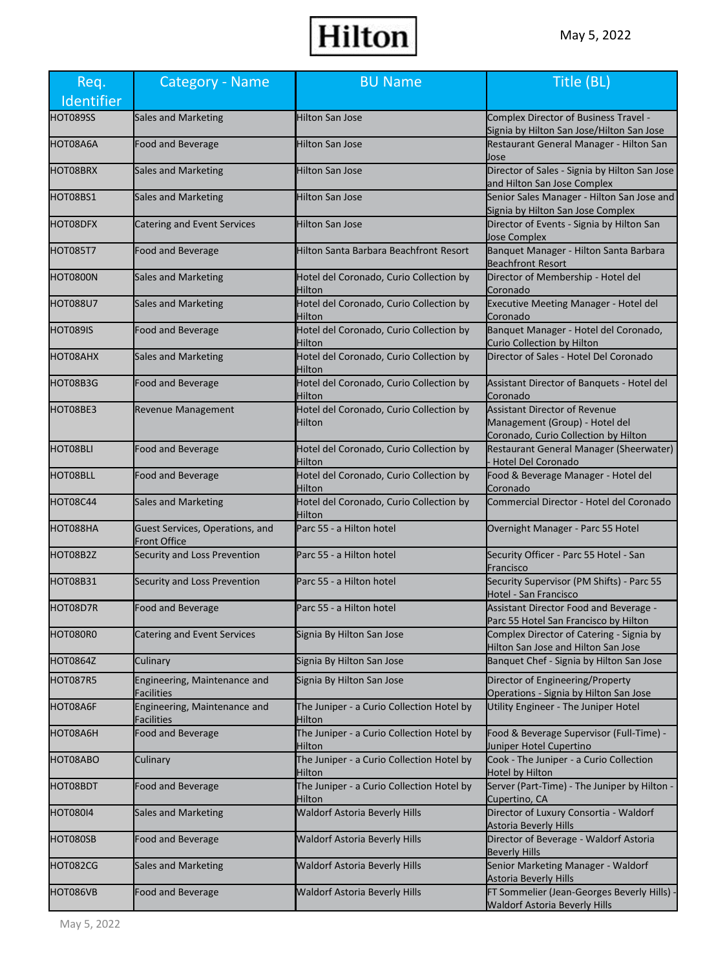| Req.<br>Identifier | Category - Name                                        | <b>BU Name</b>                                      | Title (BL)                                                                                                     |
|--------------------|--------------------------------------------------------|-----------------------------------------------------|----------------------------------------------------------------------------------------------------------------|
| HOT089SS           | <b>Sales and Marketing</b>                             | <b>Hilton San Jose</b>                              | Complex Director of Business Travel -<br>Signia by Hilton San Jose/Hilton San Jose                             |
| HOT08A6A           | Food and Beverage                                      | Hilton San Jose                                     | Restaurant General Manager - Hilton San<br>Jose                                                                |
| HOT08BRX           | <b>Sales and Marketing</b>                             | <b>Hilton San Jose</b>                              | Director of Sales - Signia by Hilton San Jose<br>and Hilton San Jose Complex                                   |
| HOT08BS1           | <b>Sales and Marketing</b>                             | <b>Hilton San Jose</b>                              | Senior Sales Manager - Hilton San Jose and<br>Signia by Hilton San Jose Complex                                |
| HOT08DFX           | <b>Catering and Event Services</b>                     | <b>Hilton San Jose</b>                              | Director of Events - Signia by Hilton San<br>Jose Complex                                                      |
| <b>HOT085T7</b>    | <b>Food and Beverage</b>                               | Hilton Santa Barbara Beachfront Resort              | Banquet Manager - Hilton Santa Barbara<br><b>Beachfront Resort</b>                                             |
| HOT0800N           | <b>Sales and Marketing</b>                             | Hotel del Coronado, Curio Collection by<br>Hilton   | Director of Membership - Hotel del<br>Coronado                                                                 |
| <b>HOT088U7</b>    | Sales and Marketing                                    | Hotel del Coronado, Curio Collection by<br>Hilton   | Executive Meeting Manager - Hotel del<br>Coronado                                                              |
| <b>HOT089IS</b>    | Food and Beverage                                      | Hotel del Coronado, Curio Collection by<br>Hilton   | Banquet Manager - Hotel del Coronado,<br>Curio Collection by Hilton                                            |
| HOT08AHX           | Sales and Marketing                                    | Hotel del Coronado, Curio Collection by<br>Hilton   | Director of Sales - Hotel Del Coronado                                                                         |
| HOT08B3G           | Food and Beverage                                      | Hotel del Coronado, Curio Collection by<br>Hilton   | Assistant Director of Banquets - Hotel del<br>Coronado                                                         |
| HOT08BE3           | Revenue Management                                     | Hotel del Coronado, Curio Collection by<br>Hilton   | <b>Assistant Director of Revenue</b><br>Management (Group) - Hotel del<br>Coronado, Curio Collection by Hilton |
| <b>HOT08BLI</b>    | <b>Food and Beverage</b>                               | Hotel del Coronado, Curio Collection by<br>Hilton   | Restaurant General Manager (Sheerwater)<br><b>Hotel Del Coronado</b>                                           |
| HOT08BLL           | Food and Beverage                                      | Hotel del Coronado, Curio Collection by<br>Hilton   | Food & Beverage Manager - Hotel del<br>Coronado                                                                |
| HOT08C44           | Sales and Marketing                                    | Hotel del Coronado, Curio Collection by<br>Hilton   | Commercial Director - Hotel del Coronado                                                                       |
| HOT088HA           | Guest Services, Operations, and<br><b>Front Office</b> | Parc 55 - a Hilton hotel                            | Overnight Manager - Parc 55 Hotel                                                                              |
| HOT08B2Z           | Security and Loss Prevention                           | Parc 55 - a Hilton hotel                            | Security Officer - Parc 55 Hotel - San<br>Francisco                                                            |
| HOT08B31           | Security and Loss Prevention                           | Parc 55 - a Hilton hotel                            | Security Supervisor (PM Shifts) - Parc 55<br>Hotel - San Francisco                                             |
| HOT08D7R           | Food and Beverage                                      | Parc 55 - a Hilton hotel                            | Assistant Director Food and Beverage -<br>Parc 55 Hotel San Francisco by Hilton                                |
| HOT080R0           | <b>Catering and Event Services</b>                     | Signia By Hilton San Jose                           | Complex Director of Catering - Signia by<br>Hilton San Jose and Hilton San Jose                                |
| HOT0864Z           | Culinary                                               | Signia By Hilton San Jose                           | Banquet Chef - Signia by Hilton San Jose                                                                       |
| <b>HOT087R5</b>    | Engineering, Maintenance and<br>Facilities             | Signia By Hilton San Jose                           | Director of Engineering/Property<br>Operations - Signia by Hilton San Jose                                     |
| HOT08A6F           | Engineering, Maintenance and<br>Facilities             | The Juniper - a Curio Collection Hotel by<br>Hilton | Utility Engineer - The Juniper Hotel                                                                           |
| HOT08A6H           | <b>Food and Beverage</b>                               | The Juniper - a Curio Collection Hotel by<br>Hilton | Food & Beverage Supervisor (Full-Time) -<br>Juniper Hotel Cupertino                                            |
| HOT08ABO           | Culinary                                               | The Juniper - a Curio Collection Hotel by<br>Hilton | Cook - The Juniper - a Curio Collection<br>Hotel by Hilton                                                     |
| HOT08BDT           | <b>Food and Beverage</b>                               | The Juniper - a Curio Collection Hotel by<br>Hilton | Server (Part-Time) - The Juniper by Hilton -<br>Cupertino, CA                                                  |
| <b>HOT080I4</b>    | <b>Sales and Marketing</b>                             | <b>Waldorf Astoria Beverly Hills</b>                | Director of Luxury Consortia - Waldorf<br>Astoria Beverly Hills                                                |
| HOT080SB           | <b>Food and Beverage</b>                               | <b>Waldorf Astoria Beverly Hills</b>                | Director of Beverage - Waldorf Astoria<br><b>Beverly Hills</b>                                                 |
| HOT082CG           | Sales and Marketing                                    | <b>Waldorf Astoria Beverly Hills</b>                | Senior Marketing Manager - Waldorf<br>Astoria Beverly Hills                                                    |
| HOT086VB           | Food and Beverage                                      | Waldorf Astoria Beverly Hills                       | FT Sommelier (Jean-Georges Beverly Hills) -<br><b>Waldorf Astoria Beverly Hills</b>                            |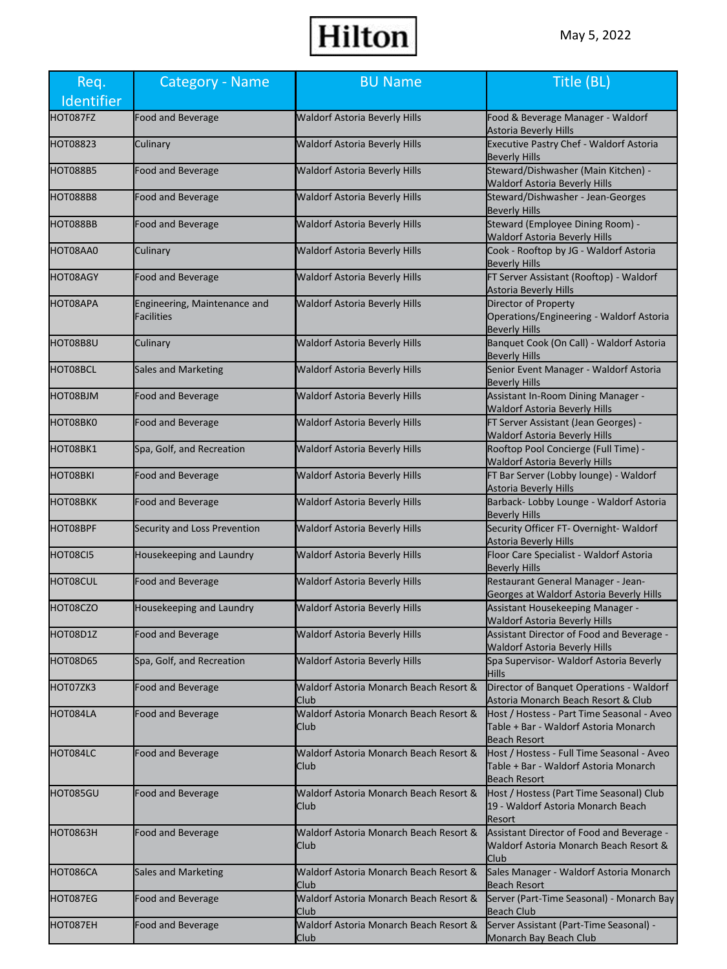| Req.<br>Identifier | Category - Name                            | <b>BU Name</b>                                 | Title (BL)                                                                                                 |
|--------------------|--------------------------------------------|------------------------------------------------|------------------------------------------------------------------------------------------------------------|
| HOT087FZ           | Food and Beverage                          | <b>Waldorf Astoria Beverly Hills</b>           | Food & Beverage Manager - Waldorf<br>Astoria Beverly Hills                                                 |
| <b>HOT08823</b>    | Culinary                                   | <b>Waldorf Astoria Beverly Hills</b>           | Executive Pastry Chef - Waldorf Astoria<br><b>Beverly Hills</b>                                            |
| HOT088B5           | <b>Food and Beverage</b>                   | <b>Waldorf Astoria Beverly Hills</b>           | Steward/Dishwasher (Main Kitchen) -<br><b>Waldorf Astoria Beverly Hills</b>                                |
| <b>HOT088B8</b>    | Food and Beverage                          | <b>Waldorf Astoria Beverly Hills</b>           | Steward/Dishwasher - Jean-Georges<br><b>Beverly Hills</b>                                                  |
| HOT088BB           | Food and Beverage                          | <b>Waldorf Astoria Beverly Hills</b>           | Steward (Employee Dining Room) -<br><b>Waldorf Astoria Beverly Hills</b>                                   |
| HOT08AA0           | Culinary                                   | <b>Waldorf Astoria Beverly Hills</b>           | Cook - Rooftop by JG - Waldorf Astoria<br><b>Beverly Hills</b>                                             |
| HOT08AGY           | <b>Food and Beverage</b>                   | Waldorf Astoria Beverly Hills                  | FT Server Assistant (Rooftop) - Waldorf<br>Astoria Beverly Hills                                           |
| HOT08APA           | Engineering, Maintenance and<br>Facilities | <b>Waldorf Astoria Beverly Hills</b>           | Director of Property<br>Operations/Engineering - Waldorf Astoria<br><b>Beverly Hills</b>                   |
| HOT08B8U           | Culinary                                   | <b>Waldorf Astoria Beverly Hills</b>           | Banquet Cook (On Call) - Waldorf Astoria<br><b>Beverly Hills</b>                                           |
| HOT08BCL           | <b>Sales and Marketing</b>                 | <b>Waldorf Astoria Beverly Hills</b>           | Senior Event Manager - Waldorf Astoria<br><b>Beverly Hills</b>                                             |
| HOT08BJM           | Food and Beverage                          | <b>Waldorf Astoria Beverly Hills</b>           | Assistant In-Room Dining Manager -<br>Waldorf Astoria Beverly Hills                                        |
| HOT08BK0           | Food and Beverage                          | <b>Waldorf Astoria Beverly Hills</b>           | FT Server Assistant (Jean Georges) -<br><b>Waldorf Astoria Beverly Hills</b>                               |
| HOT08BK1           | Spa, Golf, and Recreation                  | <b>Waldorf Astoria Beverly Hills</b>           | Rooftop Pool Concierge (Full Time) -<br><b>Waldorf Astoria Beverly Hills</b>                               |
| <b>HOT08BKI</b>    | Food and Beverage                          | <b>Waldorf Astoria Beverly Hills</b>           | FT Bar Server (Lobby lounge) - Waldorf<br><b>Astoria Beverly Hills</b>                                     |
| <b>HOTO8BKK</b>    | Food and Beverage                          | <b>Waldorf Astoria Beverly Hills</b>           | Barback- Lobby Lounge - Waldorf Astoria<br><b>Beverly Hills</b>                                            |
| HOT08BPF           | Security and Loss Prevention               | <b>Waldorf Astoria Beverly Hills</b>           | Security Officer FT- Overnight- Waldorf<br><b>Astoria Beverly Hills</b>                                    |
| HOT08CI5           | Housekeeping and Laundry                   | Waldorf Astoria Beverly Hills                  | Floor Care Specialist - Waldorf Astoria<br><b>Beverly Hills</b>                                            |
| HOT08CUL           | Food and Beverage                          | <b>Waldorf Astoria Beverly Hills</b>           | Restaurant General Manager - Jean-<br>Georges at Waldorf Astoria Beverly Hills                             |
| HOT08CZO           | Housekeeping and Laundry                   | <b>Waldorf Astoria Beverly Hills</b>           | Assistant Housekeeping Manager -<br><b>Waldorf Astoria Beverly Hills</b>                                   |
| HOT08D1Z           | Food and Beverage                          | <b>Waldorf Astoria Beverly Hills</b>           | Assistant Director of Food and Beverage -<br>Waldorf Astoria Beverly Hills                                 |
| <b>HOT08D65</b>    | Spa, Golf, and Recreation                  | <b>Waldorf Astoria Beverly Hills</b>           | Spa Supervisor- Waldorf Astoria Beverly<br><b>Hills</b>                                                    |
| HOT07ZK3           | Food and Beverage                          | Waldorf Astoria Monarch Beach Resort &<br>Club | Director of Banquet Operations - Waldorf<br>Astoria Monarch Beach Resort & Club                            |
| HOT084LA           | Food and Beverage                          | Waldorf Astoria Monarch Beach Resort &<br>Club | Host / Hostess - Part Time Seasonal - Aveo<br>Table + Bar - Waldorf Astoria Monarch<br><b>Beach Resort</b> |
| HOT084LC           | <b>Food and Beverage</b>                   | Waldorf Astoria Monarch Beach Resort &<br>Club | Host / Hostess - Full Time Seasonal - Aveo<br>Table + Bar - Waldorf Astoria Monarch<br><b>Beach Resort</b> |
| HOT085GU           | Food and Beverage                          | Waldorf Astoria Monarch Beach Resort &<br>Club | Host / Hostess (Part Time Seasonal) Club<br>19 - Waldorf Astoria Monarch Beach<br>Resort                   |
| <b>HOT0863H</b>    | Food and Beverage                          | Waldorf Astoria Monarch Beach Resort &<br>Club | Assistant Director of Food and Beverage -<br>Waldorf Astoria Monarch Beach Resort &<br><b>Club</b>         |
| HOT086CA           | <b>Sales and Marketing</b>                 | Waldorf Astoria Monarch Beach Resort &<br>Club | Sales Manager - Waldorf Astoria Monarch<br><b>Beach Resort</b>                                             |
| HOT087EG           | Food and Beverage                          | Waldorf Astoria Monarch Beach Resort &<br>Club | Server (Part-Time Seasonal) - Monarch Bay<br>Beach Club                                                    |
| HOT087EH           | Food and Beverage                          | Waldorf Astoria Monarch Beach Resort &<br>Club | Server Assistant (Part-Time Seasonal) -<br>Monarch Bay Beach Club                                          |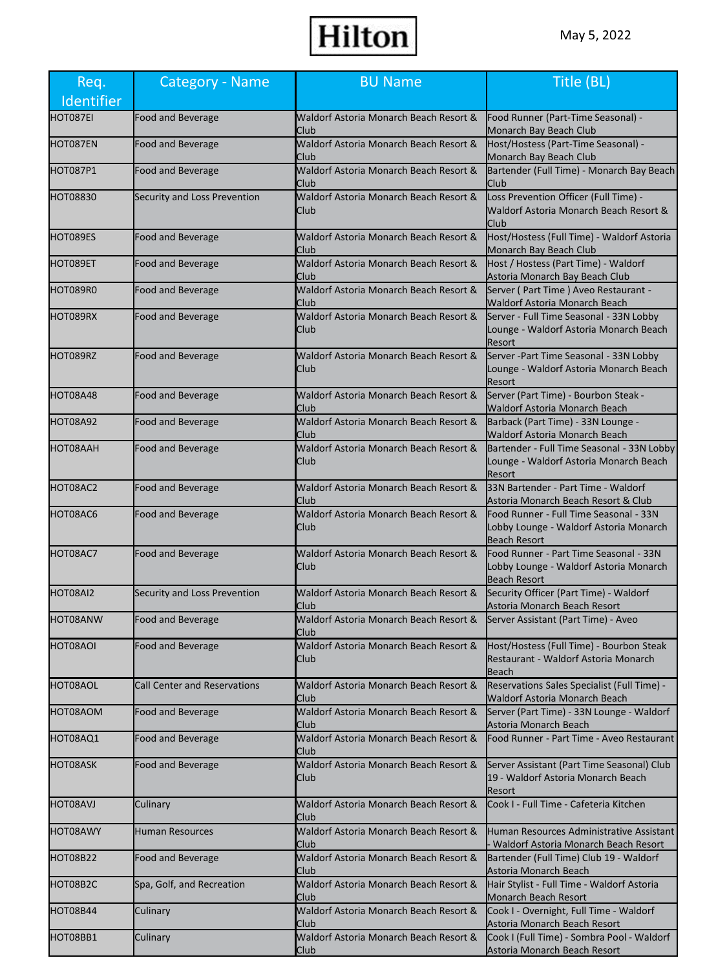| Req.<br>Identifier | <b>Category - Name</b>              | <b>BU Name</b>                                        | Title (BL)                                                                                              |
|--------------------|-------------------------------------|-------------------------------------------------------|---------------------------------------------------------------------------------------------------------|
| HOT087EI           | <b>Food and Beverage</b>            | Waldorf Astoria Monarch Beach Resort &<br>Club        | Food Runner (Part-Time Seasonal) -<br>Monarch Bay Beach Club                                            |
| HOT087EN           | <b>Food and Beverage</b>            | Waldorf Astoria Monarch Beach Resort &<br>Club        | Host/Hostess (Part-Time Seasonal) -<br>Monarch Bay Beach Club                                           |
| HOT087P1           | <b>Food and Beverage</b>            | Waldorf Astoria Monarch Beach Resort &<br>Club        | Bartender (Full Time) - Monarch Bay Beach<br><b>Club</b>                                                |
| <b>HOT08830</b>    | Security and Loss Prevention        | Waldorf Astoria Monarch Beach Resort &<br>Club        | Loss Prevention Officer (Full Time) -<br>Waldorf Astoria Monarch Beach Resort &<br><b>Club</b>          |
| HOT089ES           | <b>Food and Beverage</b>            | Waldorf Astoria Monarch Beach Resort &<br>Club        | Host/Hostess (Full Time) - Waldorf Astoria<br>Monarch Bay Beach Club                                    |
| HOT089ET           | Food and Beverage                   | Waldorf Astoria Monarch Beach Resort &<br>Club        | Host / Hostess (Part Time) - Waldorf<br>Astoria Monarch Bay Beach Club                                  |
| HOT089R0           | Food and Beverage                   | Waldorf Astoria Monarch Beach Resort &<br>Club        | Server (Part Time) Aveo Restaurant -<br><b>Waldorf Astoria Monarch Beach</b>                            |
| HOT089RX           | Food and Beverage                   | Waldorf Astoria Monarch Beach Resort &<br>Club        | Server - Full Time Seasonal - 33N Lobby<br>Lounge - Waldorf Astoria Monarch Beach<br>Resort             |
| HOT089RZ           | <b>Food and Beverage</b>            | Waldorf Astoria Monarch Beach Resort &<br>Club        | Server - Part Time Seasonal - 33N Lobby<br>Lounge - Waldorf Astoria Monarch Beach<br>Resort             |
| HOT08A48           | Food and Beverage                   | Waldorf Astoria Monarch Beach Resort &<br>Club        | Server (Part Time) - Bourbon Steak -<br><b>Waldorf Astoria Monarch Beach</b>                            |
| HOT08A92           | Food and Beverage                   | Waldorf Astoria Monarch Beach Resort &<br>Club        | Barback (Part Time) - 33N Lounge -<br>Waldorf Astoria Monarch Beach                                     |
| HOT08AAH           | Food and Beverage                   | Waldorf Astoria Monarch Beach Resort &<br><b>Club</b> | Bartender - Full Time Seasonal - 33N Lobby<br>Lounge - Waldorf Astoria Monarch Beach<br>Resort          |
| HOT08AC2           | <b>Food and Beverage</b>            | Waldorf Astoria Monarch Beach Resort &<br>Club        | 33N Bartender - Part Time - Waldorf<br>Astoria Monarch Beach Resort & Club                              |
| HOT08AC6           | Food and Beverage                   | Waldorf Astoria Monarch Beach Resort &<br>Club        | Food Runner - Full Time Seasonal - 33N<br>Lobby Lounge - Waldorf Astoria Monarch<br><b>Beach Resort</b> |
| HOT08AC7           | <b>Food and Beverage</b>            | Waldorf Astoria Monarch Beach Resort &<br>Club        | Food Runner - Part Time Seasonal - 33N<br>Lobby Lounge - Waldorf Astoria Monarch<br><b>Beach Resort</b> |
| HOT08AI2           | Security and Loss Prevention        | Waldorf Astoria Monarch Beach Resort &<br>Club        | Security Officer (Part Time) - Waldorf<br>Astoria Monarch Beach Resort                                  |
| HOT08ANW           | Food and Beverage                   | Waldorf Astoria Monarch Beach Resort &<br>Club        | Server Assistant (Part Time) - Aveo                                                                     |
| HOT08AOI           | <b>Food and Beverage</b>            | Waldorf Astoria Monarch Beach Resort &<br>Club        | Host/Hostess (Full Time) - Bourbon Steak<br>Restaurant - Waldorf Astoria Monarch<br>Beach               |
| HOT08AOL           | <b>Call Center and Reservations</b> | Waldorf Astoria Monarch Beach Resort &<br>Club        | Reservations Sales Specialist (Full Time) -<br><b>Waldorf Astoria Monarch Beach</b>                     |
| HOT08AOM           | <b>Food and Beverage</b>            | Waldorf Astoria Monarch Beach Resort &<br>Club        | Server (Part Time) - 33N Lounge - Waldorf<br>Astoria Monarch Beach                                      |
| HOT08AQ1           | <b>Food and Beverage</b>            | Waldorf Astoria Monarch Beach Resort &<br>Club        | Food Runner - Part Time - Aveo Restaurant                                                               |
| HOT08ASK           | Food and Beverage                   | Waldorf Astoria Monarch Beach Resort &<br>Club        | Server Assistant (Part Time Seasonal) Club<br>19 - Waldorf Astoria Monarch Beach<br>Resort              |
| HOT08AVJ           | Culinary                            | Waldorf Astoria Monarch Beach Resort &<br>Club        | Cook I - Full Time - Cafeteria Kitchen                                                                  |
| HOT08AWY           | <b>Human Resources</b>              | Waldorf Astoria Monarch Beach Resort &<br>Club        | Human Resources Administrative Assistant<br>Waldorf Astoria Monarch Beach Resort                        |
| HOT08B22           | Food and Beverage                   | Waldorf Astoria Monarch Beach Resort &<br>Club        | Bartender (Full Time) Club 19 - Waldorf<br>Astoria Monarch Beach                                        |
| HOT08B2C           | Spa, Golf, and Recreation           | Waldorf Astoria Monarch Beach Resort &<br>Club        | Hair Stylist - Full Time - Waldorf Astoria<br>Monarch Beach Resort                                      |
| HOT08B44           | Culinary                            | Waldorf Astoria Monarch Beach Resort &<br>Club        | Cook I - Overnight, Full Time - Waldorf<br>Astoria Monarch Beach Resort                                 |
| HOT08BB1           | Culinary                            | Waldorf Astoria Monarch Beach Resort &<br>Club        | Cook I (Full Time) - Sombra Pool - Waldorf<br>Astoria Monarch Beach Resort                              |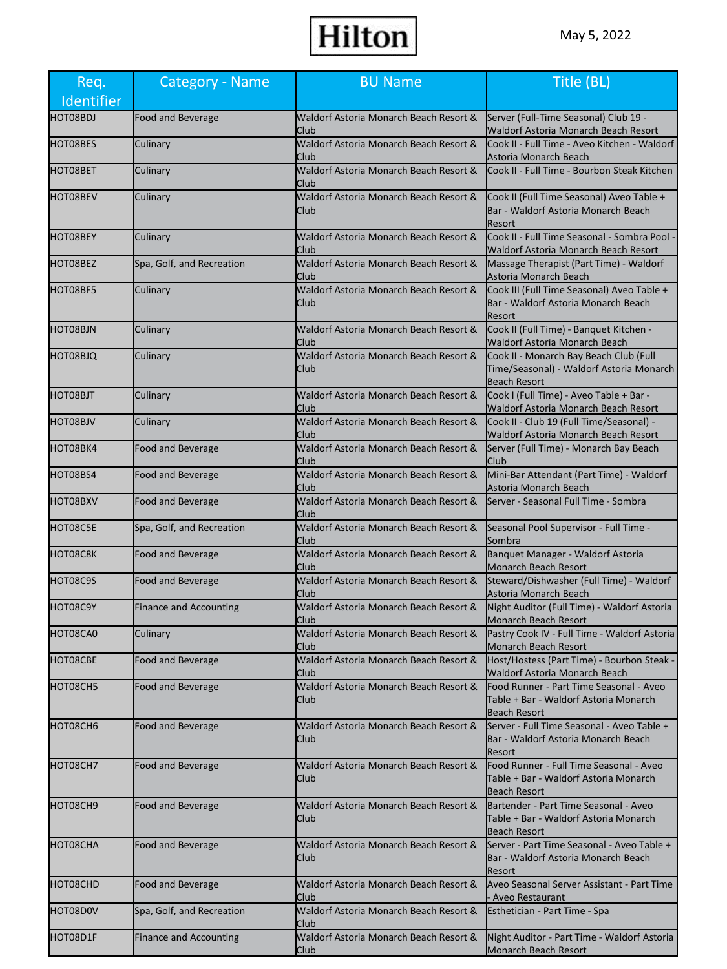| Req.<br>Identifier | Category - Name               | <b>BU Name</b>                                 | Title (BL)                                                                                                |
|--------------------|-------------------------------|------------------------------------------------|-----------------------------------------------------------------------------------------------------------|
| HOT08BDJ           | <b>Food and Beverage</b>      | Waldorf Astoria Monarch Beach Resort &<br>Club | Server (Full-Time Seasonal) Club 19 -<br>Waldorf Astoria Monarch Beach Resort                             |
| HOT08BES           | Culinary                      | Waldorf Astoria Monarch Beach Resort &<br>Club | Cook II - Full Time - Aveo Kitchen - Waldorf<br>Astoria Monarch Beach                                     |
| HOT08BET           | Culinary                      | Waldorf Astoria Monarch Beach Resort &<br>Club | Cook II - Full Time - Bourbon Steak Kitchen                                                               |
| HOT08BEV           | Culinary                      | Waldorf Astoria Monarch Beach Resort &<br>Club | Cook II (Full Time Seasonal) Aveo Table +<br>Bar - Waldorf Astoria Monarch Beach<br>Resort                |
| HOT08BEY           | Culinary                      | Waldorf Astoria Monarch Beach Resort &<br>Club | Cook II - Full Time Seasonal - Sombra Pool -<br>Waldorf Astoria Monarch Beach Resort                      |
| HOT08BEZ           | Spa, Golf, and Recreation     | Waldorf Astoria Monarch Beach Resort &<br>Club | Massage Therapist (Part Time) - Waldorf<br>Astoria Monarch Beach                                          |
| HOT08BF5           | Culinary                      | Waldorf Astoria Monarch Beach Resort &<br>Club | Cook III (Full Time Seasonal) Aveo Table +<br>Bar - Waldorf Astoria Monarch Beach<br>Resort               |
| HOT08BJN           | Culinary                      | Waldorf Astoria Monarch Beach Resort &<br>Club | Cook II (Full Time) - Banquet Kitchen -<br>Waldorf Astoria Monarch Beach                                  |
| HOT08BJQ           | Culinary                      | Waldorf Astoria Monarch Beach Resort &<br>Club | Cook II - Monarch Bay Beach Club (Full<br>Time/Seasonal) - Waldorf Astoria Monarch<br><b>Beach Resort</b> |
| HOT08BJT           | Culinary                      | Waldorf Astoria Monarch Beach Resort &<br>Club | Cook I (Full Time) - Aveo Table + Bar -<br>Waldorf Astoria Monarch Beach Resort                           |
| HOT08BJV           | Culinary                      | Waldorf Astoria Monarch Beach Resort &<br>Club | Cook II - Club 19 (Full Time/Seasonal) -<br>Waldorf Astoria Monarch Beach Resort                          |
| HOT08BK4           | Food and Beverage             | Waldorf Astoria Monarch Beach Resort &<br>Club | Server (Full Time) - Monarch Bay Beach<br>Club                                                            |
| HOT08BS4           | Food and Beverage             | Waldorf Astoria Monarch Beach Resort &<br>Club | Mini-Bar Attendant (Part Time) - Waldorf<br>Astoria Monarch Beach                                         |
| HOT08BXV           | Food and Beverage             | Waldorf Astoria Monarch Beach Resort &<br>Club | Server - Seasonal Full Time - Sombra                                                                      |
| HOT08C5E           | Spa, Golf, and Recreation     | Waldorf Astoria Monarch Beach Resort &<br>Club | Seasonal Pool Supervisor - Full Time -<br>Sombra                                                          |
| HOT08C8K           | <b>Food and Beverage</b>      | Waldorf Astoria Monarch Beach Resort &<br>Club | Banquet Manager - Waldorf Astoria<br><b>Monarch Beach Resort</b>                                          |
| HOT08C9S           | <b>Food and Beverage</b>      | Waldorf Astoria Monarch Beach Resort &<br>Club | Steward/Dishwasher (Full Time) - Waldorf<br>Astoria Monarch Beach                                         |
| HOT08C9Y           | <b>Finance and Accounting</b> | Waldorf Astoria Monarch Beach Resort &<br>Club | Night Auditor (Full Time) - Waldorf Astoria<br>Monarch Beach Resort                                       |
| HOT08CA0           | Culinary                      | Waldorf Astoria Monarch Beach Resort &<br>Club | Pastry Cook IV - Full Time - Waldorf Astoria<br>Monarch Beach Resort                                      |
| HOT08CBE           | Food and Beverage             | Waldorf Astoria Monarch Beach Resort &<br>Club | Host/Hostess (Part Time) - Bourbon Steak -<br>Waldorf Astoria Monarch Beach                               |
| HOT08CH5           | Food and Beverage             | Waldorf Astoria Monarch Beach Resort &<br>Club | Food Runner - Part Time Seasonal - Aveo<br>Table + Bar - Waldorf Astoria Monarch<br><b>Beach Resort</b>   |
| НОТ08СН6           | <b>Food and Beverage</b>      | Waldorf Astoria Monarch Beach Resort &<br>Club | Server - Full Time Seasonal - Aveo Table +<br>Bar - Waldorf Astoria Monarch Beach<br>Resort               |
| HOT08CH7           | Food and Beverage             | Waldorf Astoria Monarch Beach Resort &<br>Club | Food Runner - Full Time Seasonal - Aveo<br>Table + Bar - Waldorf Astoria Monarch<br><b>Beach Resort</b>   |
| HOT08CH9           | <b>Food and Beverage</b>      | Waldorf Astoria Monarch Beach Resort &<br>Club | Bartender - Part Time Seasonal - Aveo<br>Table + Bar - Waldorf Astoria Monarch<br><b>Beach Resort</b>     |
| HOT08CHA           | <b>Food and Beverage</b>      | Waldorf Astoria Monarch Beach Resort &<br>Club | Server - Part Time Seasonal - Aveo Table +<br>Bar - Waldorf Astoria Monarch Beach<br>Resort               |
| HOT08CHD           | Food and Beverage             | Waldorf Astoria Monarch Beach Resort &<br>Club | Aveo Seasonal Server Assistant - Part Time<br>- Aveo Restaurant                                           |
| HOT08D0V           | Spa, Golf, and Recreation     | Waldorf Astoria Monarch Beach Resort &<br>Club | Esthetician - Part Time - Spa                                                                             |
| HOT08D1F           | <b>Finance and Accounting</b> | Waldorf Astoria Monarch Beach Resort &<br>Club | Night Auditor - Part Time - Waldorf Astoria<br>Monarch Beach Resort                                       |